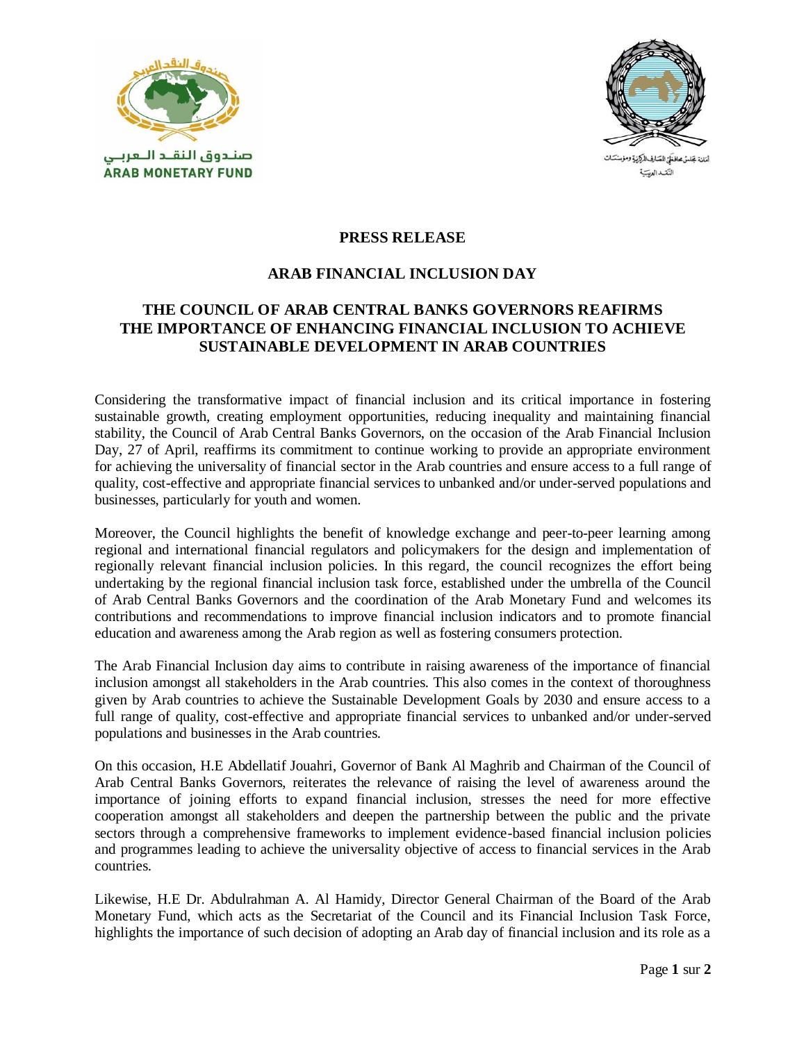



أمَانة بَحَلسُ محافظَيّ للصّارف للركزيةِ ومؤسسَسَات النكداليب

## **PRESS RELEASE**

## **ARAB FINANCIAL INCLUSION DAY**

## **THE COUNCIL OF ARAB CENTRAL BANKS GOVERNORS REAFIRMS THE IMPORTANCE OF ENHANCING FINANCIAL INCLUSION TO ACHIEVE SUSTAINABLE DEVELOPMENT IN ARAB COUNTRIES**

Considering the transformative impact of financial inclusion and its critical importance in fostering sustainable growth, creating employment opportunities, reducing inequality and maintaining financial stability, the Council of Arab Central Banks Governors, on the occasion of the Arab Financial Inclusion Day, 27 of April, reaffirms its commitment to continue working to provide an appropriate environment for achieving the universality of financial sector in the Arab countries and ensure access to a full range of quality, cost-effective and appropriate financial services to unbanked and/or under-served populations and businesses, particularly for youth and women.

Moreover, the Council highlights the benefit of knowledge exchange and peer-to-peer learning among regional and international financial regulators and policymakers for the design and implementation of regionally relevant financial inclusion policies. In this regard, the council recognizes the effort being undertaking by the regional financial inclusion task force, established under the umbrella of the Council of Arab Central Banks Governors and the coordination of the Arab Monetary Fund and welcomes its contributions and recommendations to improve financial inclusion indicators and to promote financial education and awareness among the Arab region as well as fostering consumers protection.

The Arab Financial Inclusion day aims to contribute in raising awareness of the importance of financial inclusion amongst all stakeholders in the Arab countries. This also comes in the context of thoroughness given by Arab countries to achieve the Sustainable Development Goals by 2030 and ensure access to a full range of quality, cost-effective and appropriate financial services to unbanked and/or under-served populations and businesses in the Arab countries.

On this occasion, H.E Abdellatif Jouahri, Governor of Bank Al Maghrib and Chairman of the Council of Arab Central Banks Governors, reiterates the relevance of raising the level of awareness around the importance of joining efforts to expand financial inclusion, stresses the need for more effective cooperation amongst all stakeholders and deepen the partnership between the public and the private sectors through a comprehensive frameworks to implement evidence-based financial inclusion policies and programmes leading to achieve the universality objective of access to financial services in the Arab countries.

Likewise, H.E Dr. Abdulrahman A. Al Hamidy, Director General Chairman of the Board of the Arab Monetary Fund, which acts as the Secretariat of the Council and its Financial Inclusion Task Force, highlights the importance of such decision of adopting an Arab day of financial inclusion and its role as a